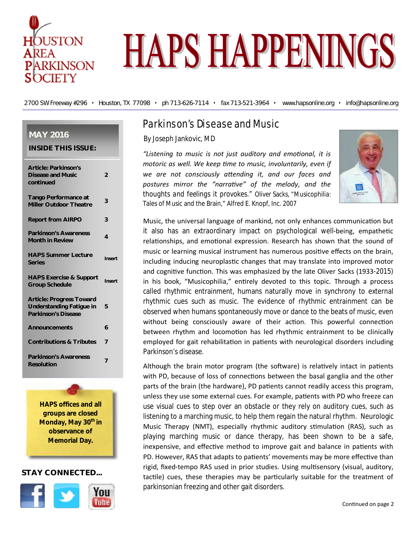

# **HAPS HAPPENINGS**

2700 SW Freeway #296 • Houston, TX 77098 • ph 713-626-7114 • fax 713-521-3964 • www.hapsonline.org • info@hapsonline.org

## **MAY 2016**

| <b>Article: Parkinson's</b><br><b>Disease and Music</b><br>continued                             | $\overline{2}$ |
|--------------------------------------------------------------------------------------------------|----------------|
| <b>Tango Performance at</b><br><b>Miller Outdoor Theatre</b>                                     | 3              |
| <b>Report from AIRPO</b>                                                                         | 3              |
| <b>Parkinson's Awareness</b><br><b>Month in Review</b>                                           | 4              |
| <b>HAPS Summer Lecture</b><br><b>Series</b>                                                      | Insert         |
| <b>HAPS Exercise &amp; Support</b><br><b>Group Schedule</b>                                      | Insert         |
| <b>Article: Progress Toward</b><br><b>Understanding Fatigue in</b><br><b>Parkinson's Disease</b> | 5              |
| <b>Announcements</b>                                                                             | 6              |
| <b>Contributions &amp; Tributes</b>                                                              | $\overline{7}$ |
| <b>Parkinson's Awareness</b>                                                                     |                |

**HAPS offices and all groups are closed Monday, May 30th in observance of Memorial Day.**

## **STAY CONNECTED...**



## Parkinson's Disease and Music

By Joseph Jankovic, MD

"Listening to music is not just auditory and emotional, it is *motoric as well. We keep Ɵme to music, involuntarily, even if*  we are not consciously attending it, and our faces and postures mirror the "narrative" of the melody, and the *thoughts and feelings it provokes."* Oliver Sacks, "Musicophilia: Tales of Music and the Brain," Alfred E. Knopf, Inc. 2007



Music, the universal language of mankind, not only enhances communication but it also has an extraordinary impact on psychological well-being, empathetic relationships, and emotional expression. Research has shown that the sound of music or learning musical instrument has numerous positive effects on the brain, including inducing neuroplastic changes that may translate into improved motor and cognitive function. This was emphasized by the late Oliver Sacks (1933-2015) in his book, "Musicophilia," entirely devoted to this topic. Through a process called rhythmic entrainment, humans naturally move in synchrony to external rhythmic cues such as music. The evidence of rhythmic entrainment can be observed when humans spontaneously move or dance to the beats of music, even without being consciously aware of their action. This powerful connection between rhythm and locomotion has led rhythmic entrainment to be clinically employed for gait rehabilitation in patients with neurological disorders including Parkinson's disease.

Although the brain motor program (the software) is relatively intact in patients with PD, because of loss of connections between the basal ganglia and the other parts of the brain (the hardware), PD patients cannot readily access this program, unless they use some external cues. For example, patients with PD who freeze can use visual cues to step over an obstacle or they rely on auditory cues, such as listening to a marching music, to help them regain the natural rhythm. Neurologic Music Therapy (NMT), especially rhythmic auditory stimulation (RAS), such as playing marching music or dance therapy, has been shown to be a safe, inexpensive, and effective method to improve gait and balance in patients with PD. However, RAS that adapts to patients' movements may be more effective than rigid, fixed-tempo RAS used in prior studies. Using multisensory (visual, auditory, tactile) cues, these therapies may be particularly suitable for the treatment of parkinsonian freezing and other gait disorders.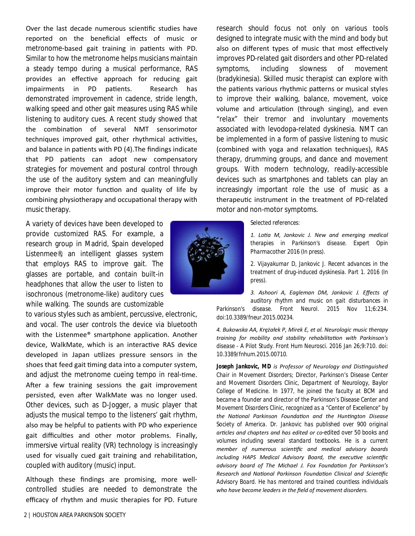Over the last decade numerous scientific studies have reported on the beneficial effects of music or metronome-based gait training in patients with PD. Similar to how the metronome helps musicians maintain a steady tempo during a musical performance, RAS provides an effective approach for reducing gait impairments in PD patients. Research has demonstrated improvement in cadence, stride length, walking speed and other gait measures using RAS while listening to auditory cues. A recent study showed that the combination of several NMT sensorimotor techniques improved gait, other rhythmical activities, and balance in patients with PD (4). The findings indicate that PD patients can adopt new compensatory strategies for movement and postural control through the use of the auditory system and can meaningfully improve their motor function and quality of life by combining physiotherapy and occupational therapy with music therapy.

A variety of devices have been developed to provide customized RAS. For example, a research group in Madrid, Spain developed Listenmee®, an intelligent glasses system that employs RAS to improve gait. The glasses are portable, and contain built-in headphones that allow the user to listen to isochronous (metronome-like) auditory cues while walking. The sounds are customizable

to various styles such as ambient, percussive, electronic, and vocal. The user controls the device via bluetooth with the Listenmee® smartphone application. Another device, WalkMate, which is an interactive RAS device developed in Japan utilizes pressure sensors in the shoes that feed gait timing data into a computer system, and adjust the metronome cueing tempo in real-time. After a few training sessions the gait improvement persisted, even after WalkMate was no longer used. Other devices, such as D-Jogger, a music player that adjusts the musical tempo to the listeners' gait rhythm, also may be helpful to patients with PD who experience gait difficulties and other motor problems. Finally, immersive virtual reality (VR) technology is increasingly used for visually cued gait training and rehabilitation, coupled with auditory (music) input.

Although these findings are promising, more wellcontrolled studies are needed to demonstrate the efficacy of rhythm and music therapies for PD. Future



research should focus not only on various tools designed to integrate music with the mind and body but also on different types of music that most effectively improves PD-related gait disorders and other PD-related symptoms, including slowness of movement (bradykinesia). Skilled music therapist can explore with the patients various rhythmic patterns or musical styles to improve their walking, balance, movement, voice volume and articulation (through singing), and even "relax" their tremor and involuntary movements associated with levodopa-related dyskinesia. NMT can be implemented in a form of passive listening to music (combined with yoga and relaxation techniques), RAS therapy, drumming groups, and dance and movement groups. With modern technology, readily-accessible devices such as smartphones and tablets can play an increasingly important role the use of music as a therapeuƟc instrument in the treatment of PD-related motor and non-motor symptoms.

*Selected references:*

*1. LoƟa M, Jankovic J. New and emerging medical therapies in Parkinson's disease. Expert Opin Pharmacother 2016 (In press).*

*2. Vijayakumar D, Jankovic J. Recent advances in the treatment of drug-induced dyskinesia. Part 1. 2016 (In press).*

*3. Ashoori A, Eagleman DM, Jankovic J. Effects of auditory rhythm and music on gait disturbances in Parkinson's disease. Front Neurol. 2015 Nov 11;6:234. doi:10.3389/fneur.2015.00234.*

*4. Bukowska AA, Krężałek P, Mirek E, et al. Neurologic music therapy training for mobility and stability rehabilitaƟon with Parkinson's disease - A Pilot Study. Front Hum Neurosci. 2016 Jan 26;9:710. doi: 10.3389/fnhum.2015.00710.*

**Joseph Jankovic, MD** is Professor of Neurology and Distinguished *Chair in Movement Disorders; Director, Parkinson's Disease Center and Movement Disorders Clinic, Department of Neurology, Baylor College of Medicine. In 1977, he joined the faculty at BCM and became a founder and director of the Parkinson's Disease Center and Movement Disorders Clinic, recognized as a "Center of Excellence" by the NaƟonal Parkinson FoundaƟon and the HunƟngton Disease Society of America. Dr. Jankovic has published over 900 original arƟcles and chapters and has edited or co-edited over 50 books and volumes including several standard textbooks. He is a current member of numerous scienƟfic and medical advisory boards*  including HAPS Medical Advisory Board, the executive scientific *advisory board of The Michael J. Fox FoundaƟon for Parkinson's Research and NaƟonal Parkinson FoundaƟon Clinical and ScienƟfic Advisory Board. He has mentored and trained countless individuals who have become leaders in the field of movement disorders.*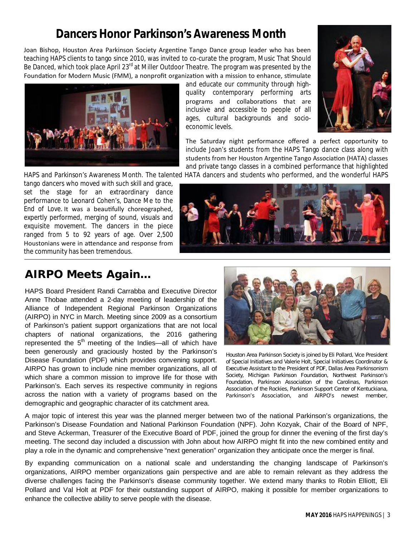## **Dancers Honor Parkinson's Awareness Month**

Joan Bishop, Houston Area Parkinson Society Argentine Tango Dance group leader who has been teaching HAPS clients to tango since 2010, was invited to co-curate the program, *Music That Should*  Be Danced, which took place April 23<sup>rd</sup> at Miller Outdoor Theatre. The program was presented by the Foundation for Modern Music (FMM), a nonprofit organization with a mission to enhance, stimulate



and educate our community through highquality contemporary performing arts programs and collaborations that are inclusive and accessible to people of all ages, cultural backgrounds and socioeconomic levels.



The Saturday night performance offered a perfect opportunity to include Joan's students from the HAPS Tango dance class along with students from her Houston Argentine Tango Association (HATA) classes and private tango classes in a combined performance that highlighted

HAPS and Parkinson's Awareness Month. The talented HATA dancers and students who performed, and the wonderful HAPS

tango dancers who moved with such skill and grace, set the stage for an extraordinary dance performance to Leonard Cohen's, *Dance Me to the End of Love*. It was a beauƟfully choreographed, expertly performed, merging of sound, visuals and exquisite movement. The dancers in the piece ranged from 5 to 92 years of age. Over 2,500 Houstonians were in attendance and response from the community has been tremendous.



## **AIRPO Meets Again...**

HAPS Board President Randi Carrabba and Executive Director Anne Thobae attended a 2-day meeting of leadership of the Alliance of Independent Regional Parkinson Organizations (AIRPO) in NYC in March. Meeting since 2009 as a consortium of Parkinson's patient support organizations that are not local chapters of national organizations, the 2016 gathering represented the  $5<sup>th</sup>$  meeting of the Indies—all of which have been generously and graciously hosted by the Parkinson's Disease Foundation (PDF) which provides convening support. AIRPO has grown to include nine member organizations, all of which share a common mission to improve life for those with Parkinson's. Each serves its respective community in regions across the nation with a variety of programs based on the demographic and geographic character of its catchment area.



*Houston Area Parkinson Society is joined by Eli Pollard, Vice President of Special Initiatives and Valerie Holt, Special Initiatives Coordinator & Executive Assistant to the President of PDF, Dallas Area Parkinsonism Society, Michigan Parkinson Foundation, Northwest Parkinson's Foundation, Parkinson Association of the Carolinas, Parkinson Association of the Rockies, Parkinson Support Center of Kentuckiana, Parkinson's Association, and AIRPO's newest member,* 

A major topic of interest this year was the planned merger between two of the national Parkinson's organizations, the Parkinson's Disease Foundation and National Parkinson Foundation (NPF). John Kozyak, Chair of the Board of NPF, and Steve Ackerman, Treasurer of the Executive Board of PDF, joined the group for dinner the evening of the first day's meeting. The second day included a discussion with John about how AIRPO might fit into the new combined entity and play a role in the dynamic and comprehensive "next generation" organization they anticipate once the merger is final.

By expanding communication on a national scale and understanding the changing landscape of Parkinson's organizations, AIRPO member organizations gain perspective and are able to remain relevant as they address the diverse challenges facing the Parkinson's disease community together. We extend many thanks to Robin Elliott, Eli Pollard and Val Holt at PDF for their outstanding support of AIRPO, making it possible for member organizations to enhance the collective ability to serve people with the disease.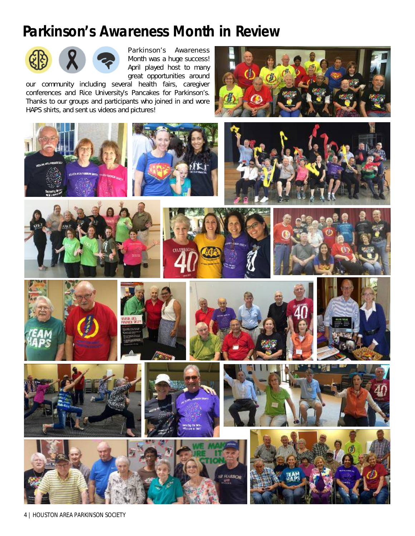## **Parkinson's Awareness Month in Review**



Parkinson's Awareness Month was a huge success! April played host to many great opportunities around

our community including several health fairs, caregiver conferences and Rice University's *Pancakes for Parkinson's.*  Thanks to our groups and participants who joined in and wore HAPS shirts, and sent us videos and pictures!



























4 | HOUSTON AREA PARKINSON SOCIETY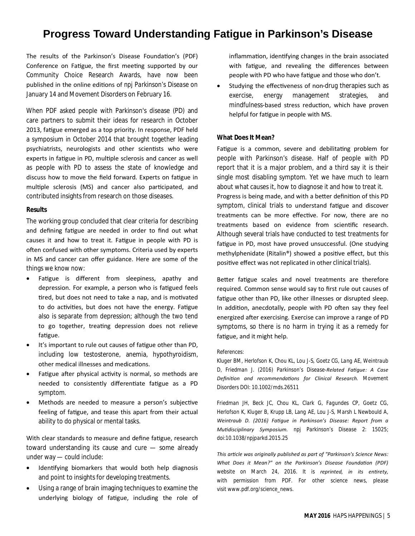## **Progress Toward Understanding Fatigue in Parkinson's Disease**

The results of the Parkinson's Disease Foundation's (PDF) Conference on Fatigue, the first meeting supported by our Community Choice Research Awards, have now been published in the online editions of *npj Parkinson's Disease* on January 14 and *Movement Disorders* on February 16.

When PDF asked people with Parkinson's disease (PD) and care partners to submit their ideas for research in October 2013, fatigue emerged as a top priority. In response, PDF held a symposium in October 2014 that brought together leading psychiatrists, neurologists and other scientists who were experts in fatigue in PD, multiple sclerosis and cancer as well as people with PD to assess the state of knowledge and discuss how to move the field forward. Experts on fatigue in multiple sclerosis (MS) and cancer also participated, and contributed insights from research on those diseases.

#### **Results**

The working group concluded that clear criteria for describing and defining fatigue are needed in order to find out what causes it and how to treat it. Fatigue in people with PD is often confused with other symptoms. Criteria used by experts in MS and cancer can offer guidance. Here are some of the things we know now:

- Fatigue is different from sleepiness, apathy and depression. For example, a person who is fatigued feels tired, but does not need to take a nap, and is motivated to do activities, but does not have the energy. Fatigue also is separate from depression; although the two tend to go together, treating depression does not relieve fatigue.
- It's important to rule out causes of fatigue other than PD, including low testosterone, anemia, hypothyroidism, other medical illnesses and medications.
- Fatigue after physical activity is normal, so methods are needed to consistently differentiate fatigue as a PD symptom.
- Methods are needed to measure a person's subjective feeling of fatigue, and tease this apart from their actual ability to do physical or mental tasks.

With clear standards to measure and define fatigue, research toward understanding its cause and cure — some already under way — could include:

- Identifying biomarkers that would both help diagnosis and point to insights for developing treatments.
- Using a range of brain imaging techniques to examine the underlying biology of fatigue, including the role of

inflammation, identifying changes in the brain associated with fatigue, and revealing the differences between people with PD who have fatigue and those who don't.

Studying the effectiveness of non-drug therapies such as exercise, energy management strategies, and mindfulness-based stress reduction, which have proven helpful for fatigue in people with MS.

#### **What Does It Mean?**

Fatigue is a common, severe and debilitating problem for people with Parkinson's disease. Half of people with PD report that it is a major problem, and a third say it is their single most disabling symptom. Yet we have much to learn about what causes it, how to diagnose it and how to treat it. Progress is being made, and with a better definition of this PD symptom, clinical trials to understand fatigue and discover treatments can be more effective. For now, there are no treatments based on evidence from scientific research. Although several trials have conducted to test treatments for fatigue in PD, most have proved unsuccessful. (One studying methylphenidate (Ritalin®) showed a positive effect, but this positive effect was not replicated in other clinical trials).

Better fatigue scales and novel treatments are therefore required. Common sense would say to first rule out causes of fatigue other than PD, like other illnesses or disrupted sleep. In addition, anecdotally, people with PD often say they feel energized after exercising. Exercise can improve a range of PD symptoms, so there is no harm in trying it as a remedy for fatigue, and it might help.

#### *References:*

*Kluger BM, Herlofson K, Chou KL, Lou J-S, Goetz CG, Lang AE, Weintraub D, Friedman J. (2016) Parkinson's Disease-Related FaƟgue: A Case DefiniƟon and recommendaƟons for Clinical Research. Movement Disorders DOI: 10.1002/mds.26511*

*Friedman JH, Beck JC, Chou KL, Clark G, Fagundes CP, Goetz CG, Herlofson K, Kluger B, Krupp LB, Lang AE, Lou J-S, Marsh L Newbould A, Weintraub D. (2016) FaƟgue in Parkinson's Disease: Report from a MuƟdisciplinary Symposium. npj Parkinson's Disease 2: 15025; doi:10.1038/npjparkd.2015.25*

*This arƟcle was originally published as part of "Parkinson's Science News: What Does it Mean?" on the Parkinson's Disease Foundation (PDF) website on March 24, 2016. It is reprinted, in its entirety, with permission from PDF. For other science news, please visit www.pdf.org/science\_news.*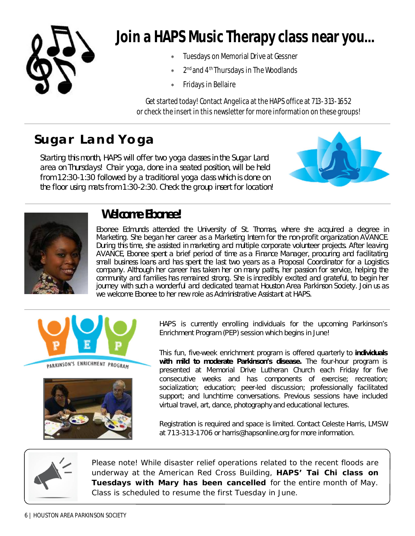

# **Join a HAPS Music Therapy class near you…**

- Tuesdays on Memorial Drive at Gessner
- \* 2<sup>nd</sup> and 4<sup>th</sup> Thursdays in The Woodlands
- Fridays in Bellaire

Get started today! Contact Angelica at the HAPS office at 713-313-1652 or check the insert in this newsletter for more information on these groups!

## **Sugar Land Yoga**

Starting this month, HAPS will offer two yoga classes in the Sugar Land area on Thursdays! Chair yoga, done in a seated position, will be held from 12:30-1:30 followed by a traditional yoga class which is done on the floor using mats from 1:30-2:30. Check the group insert for location!





## **Welcome Ebonee!**

Ebonee Edmunds attended the University of St. Thomas, where she acquired a degree in Marketing. She began her career as a Marketing Intern for the non-profit organization AVANCE. During this time, she assisted in marketing and multiple corporate volunteer projects. After leaving AVANCE, Ebonee spent a brief period of time as a Finance Manager, procuring and facilitating small business loans and has spent the last two years as a Proposal Coordinator for a Logistics company. Although her career has taken her on many paths, her passion for service, helping the community and families has remained strong. She is incredibly excited and grateful, to begin her journey with such a wonderful and dedicated team at Houston Area Parkinson Society. Join us as we welcome Ebonee to her new role as Administrative Assistant at HAPS.



PARKINSON'S ENRICHMENT PROGRAM



HAPS is currently enrolling individuals for the upcoming Parkinson's Enrichment Program (PEP) session which begins in June!

This fun, five-week enrichment program is offered quarterly to **individuals with mild to moderate Parkinson's disease.** The four-hour program is presented at Memorial Drive Lutheran Church each Friday for five consecutive weeks and has components of exercise; recreation; socialization; education; peer-led discussion; professionally facilitated support; and lunchtime conversations. Previous sessions have included virtual travel, art, dance, photography and educational lectures.

Registration is required and space is limited. Contact Celeste Harris, LMSW at 713-313-1706 or harris@hapsonline.org for more information.



Please note! While disaster relief operations related to the recent floods are underway at the American Red Cross Building, **HAPS' Tai Chi class on Tuesdays with Mary has been cancelled** for the entire month of May. Class is scheduled to resume the first Tuesday in June.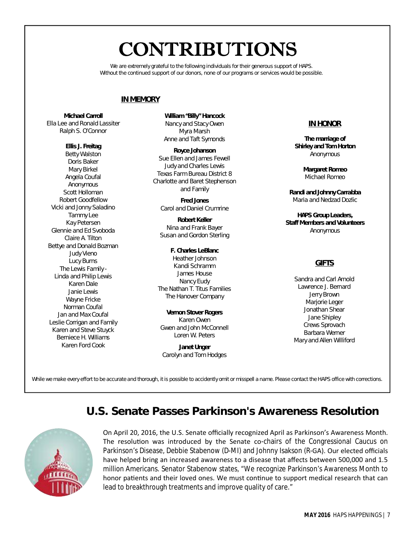# **CONTRIBUTIONS**

We are extremely grateful to the following individuals for their generous support of HAPS. Without the continued support of our donors, none of our programs or services would be possible.

## **IN MEMORY**

**Michael Carroll** Ella Lee and Ronald Lassiter Ralph S. O'Connor

#### **Ellis J. Freitag**

Betty Walston Doris Baker Mary Birkel Angela Coufal Anonymous Scott Holloman Robert Goodfellow Vicki and Jonny Saladino Tammy Lee Kay Petersen Glennie and Ed Svoboda Claire A. Tilton Bettye and Donald Bozman Judy Vieno Lucy Burns The Lewis Family - Linda and Philip Lewis Karen Dale Janie Lewis Wayne Fricke Norman Coufal Jan and Max Coufal Leslie Corrigan and Family Karen and Steve Stuyck Berniece H. Williams Karen Ford Cook

**William "Billy" Hancock** Nancy and Stacy Owen Myra Marsh Anne and Taft Symonds

**Royce Johanson** Sue Ellen and James Fewell Judy and Charles Lewis Texas Farm Bureau District 8 Charlotte and Baret Stephenson and Family

**Fred Jones** Carol and Daniel Crumrine

**Robert Keller** Nina and Frank Bayer Susan and Gordon Sterling

#### **F. Charles LeBlanc**

Heather Johnson Kandi Schramm James House Nancy Eudy The Nathan T. Titus Families The Hanover Company

**Vernon Stover Rogers** Karen Owen Gwen and John McConnell Loren W. Peters

**Janet Unger** Carolyn and Tom Hodges

## **IN HONOR**

**The marriage of Shirley and Tom Horton** Anonymous

> **Margaret Romeo** Michael Romeo

**Randi and Johnny Carrabba** Maria and Nedzad Dozlic

**HAPS Group Leaders, Staff Members and Volunteers** Anonymous

## **GIFTS**

Sandra and Carl Arnold Lawrence J. Bernard Jerry Brown Marjorie Leger Jonathan Shear Jane Shipley Crews Sprovach Barbara Werner Mary and Allen Williford

*While we make every effort to be accurate and thorough, it is possible to accidently omit or misspell a name. Please contact the HAPS office with corrections.* 

## **U.S. Senate Passes Parkinson's Awareness Resolution**



On April 20, 2016, the U.S. Senate officially recognized April as Parkinson's Awareness Month. The resolution was introduced by the Senate co-chairs of the Congressional Caucus on Parkinson's Disease, Debbie Stabenow (D-MI) and Johnny Isakson (R-GA). Our elected officials have helped bring an increased awareness to a disease that affects between 500,000 and 1.5 million Americans. Senator Stabenow states, "We recognize Parkinson's Awareness Month to honor patients and their loved ones. We must continue to support medical research that can lead to breakthrough treatments and improve quality of care."